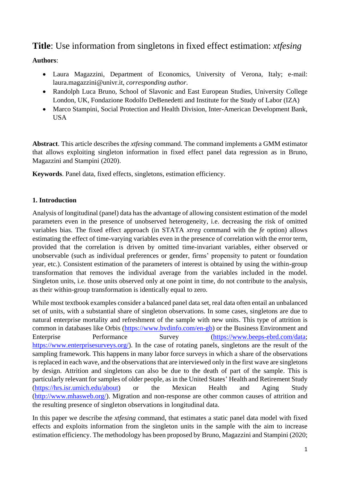# **Title**: Use information from singletons in fixed effect estimation: *xtfesing*

# **Authors**:

- Laura Magazzini, Department of Economics, University of Verona, Italy; e-mail: laura.magazzini@univr.it, *corresponding author*.
- Randolph Luca Bruno, School of Slavonic and East European Studies, University College London, UK, Fondazione Rodolfo DeBenedetti and Institute for the Study of Labor (IZA)
- Marco Stampini, Social Protection and Health Division, Inter-American Development Bank, USA

**Abstract**. This article describes the *xtfesing* command. The command implements a GMM estimator that allows exploiting singleton information in fixed effect panel data regression as in Bruno, Magazzini and Stampini (2020).

**Keywords**. Panel data, fixed effects, singletons, estimation efficiency.

# **1. Introduction**

Analysis of longitudinal (panel) data has the advantage of allowing consistent estimation of the model parameters even in the presence of unobserved heterogeneity, i.e. decreasing the risk of omitted variables bias. The fixed effect approach (in STATA *xtreg* command with the *fe* option) allows estimating the effect of time-varying variables even in the presence of correlation with the error term, provided that the correlation is driven by omitted time-invariant variables, either observed or unobservable (such as individual preferences or gender, firms' propensity to patent or foundation year, etc.). Consistent estimation of the parameters of interest is obtained by using the within-group transformation that removes the individual average from the variables included in the model. Singleton units, i.e. those units observed only at one point in time, do not contribute to the analysis, as their within-group transformation is identically equal to zero.

While most textbook examples consider a balanced panel data set, real data often entail an unbalanced set of units, with a substantial share of singleton observations. In some cases, singletons are due to natural enterprise mortality and refreshment of the sample with new units. This type of attrition is common in databases like Orbis [\(https://www.bvdinfo.com/en-gb\)](https://www.bvdinfo.com/en-gb) or the Business Environment and Enterprise Performance Survey [\(https://www.beeps-ebrd.com/data;](https://www.beeps-ebrd.com/data) [https://www.enterprisesurveys.org/\)](https://www.enterprisesurveys.org/). In the case of rotating panels, singletons are the result of the sampling framework. This happens in many labor force surveys in which a share of the observations is replaced in each wave, and the observations that are interviewed only in the first wave are singletons by design. Attrition and singletons can also be due to the death of part of the sample. This is particularly relevant for samples of older people, as in the United States' Health and Retirement Study [\(https://hrs.isr.umich.edu/about\)](https://hrs.isr.umich.edu/about) or the Mexican Health and Aging Study [\(http://www.mhasweb.org/\)](http://www.mhasweb.org/). Migration and non-response are other common causes of attrition and the resulting presence of singleton observations in longitudinal data.

In this paper we describe the *xtfesing* command, that estimates a static panel data model with fixed effects and exploits information from the singleton units in the sample with the aim to increase estimation efficiency. The methodology has been proposed by Bruno, Magazzini and Stampini (2020;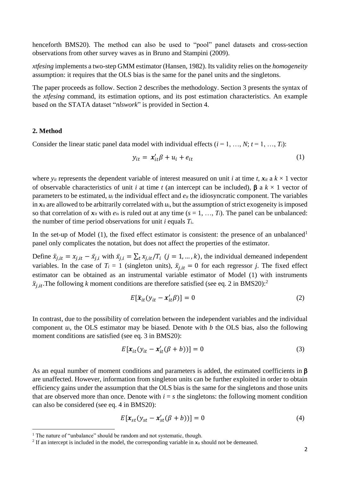henceforth BMS20). The method can also be used to "pool" panel datasets and cross-section observations from other survey waves as in Bruno and Stampini (2009).

*xtfesing* implements a two-step GMM estimator (Hansen, 1982). Its validity relies on the *homogeneity* assumption: it requires that the OLS bias is the same for the panel units and the singletons.

The paper proceeds as follow. Section 2 describes the methodology. Section 3 presents the syntax of the *xtfesing* command, its estimation options, and its post estimation characteristics. An example based on the STATA dataset "*nlswork*" is provided in Section 4.

### **2. Method**

 $\overline{a}$ 

Consider the linear static panel data model with individual effects  $(i = 1, ..., N; t = 1, ..., T_i)$ :

$$
y_{it} = x_{it}'\beta + u_i + e_{it} \tag{1}
$$

where  $y_{it}$  represents the dependent variable of interest measured on unit *i* at time *t*,  $x_{it}$  a  $k \times 1$  vector of observable characteristics of unit *i* at time *t* (an intercept can be included),  $\beta$  a  $k \times 1$  vector of parameters to be estimated, *u<sup>i</sup>* the individual effect and *eit* the idiosyncratic component. The variables in  $x_i$  are allowed to be arbitrarily correlated with  $u_i$ , but the assumption of strict exogeneity is imposed so that correlation of  $x_i$  with  $e_i$  is ruled out at any time  $(s = 1, ..., T_i)$ . The panel can be unbalanced: the number of time period observations for unit *i* equals *Ti*.

In the set-up of Model (1), the fixed effect estimator is consistent: the presence of an unbalanced<sup>1</sup> panel only complicates the notation, but does not affect the properties of the estimator.

Define  $\ddot{x}_{i, it} = x_{i, it} - \bar{x}_{i, i}$  with  $\bar{x}_{i, i} = \sum_t x_{i, it}/T_i$   $(j = 1, ..., k)$ , the individual demeaned independent variables. In the case of  $T_i = 1$  (singleton units),  $\ddot{x}_{i, it} = 0$  for each regressor *j*. The fixed effect estimator can be obtained as an instrumental variable estimator of Model (1) with instruments  $\ddot{x}_{j,it}$ . The following *k* moment conditions are therefore satisfied (see eq. 2 in BMS20):<sup>2</sup>

$$
E[\ddot{\boldsymbol{x}}_{it}(\mathbf{y}_{it} - \boldsymbol{x}_{it}'\boldsymbol{\beta})] = 0 \tag{2}
$$

In contrast, due to the possibility of correlation between the independent variables and the individual component *ui*, the OLS estimator may be biased. Denote with *b* the OLS bias, also the following moment conditions are satisfied (see eq. 3 in BMS20):

$$
E[\mathbf{x}_{it}(y_{it} - \mathbf{x}'_{it}(\beta + b))] = 0
$$
\n(3)

As an equal number of moment conditions and parameters is added, the estimated coefficients in  $\beta$ are unaffected. However, information from singleton units can be further exploited in order to obtain efficiency gains under the assumption that the OLS bias is the same for the singletons and those units that are observed more than once. Denote with  $i = s$  the singletons: the following moment condition can also be considered (see eq. 4 in BMS20):

$$
E[\mathbf{x}_{st}(y_{st} - \mathbf{x}'_{st}(\beta + b))] = 0
$$
\n(4)

<sup>&</sup>lt;sup>1</sup> The nature of "unbalance" should be random and not systematic, though.

<sup>&</sup>lt;sup>2</sup> If an intercept is included in the model, the corresponding variable in  $x_{it}$  should not be demeaned.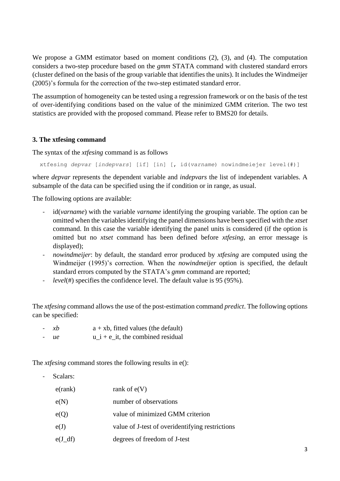We propose a GMM estimator based on moment conditions (2), (3), and (4). The computation considers a two-step procedure based on the *gmm* STATA command with clustered standard errors (cluster defined on the basis of the group variable that identifies the units). It includes the Windmeijer (2005)'s formula for the correction of the two-step estimated standard error.

The assumption of homogeneity can be tested using a regression framework or on the basis of the test of over-identifying conditions based on the value of the minimized GMM criterion. The two test statistics are provided with the proposed command. Please refer to BMS20 for details.

## **3. The xtfesing command**

The syntax of the *xtfesing* command is as follows

xtfesing *depvar* [*indepvars*] [if] [in] [, id(*varname*) nowindmeiejer level(#)]

where *depvar* represents the dependent variable and *indepvars* the list of independent variables. A subsample of the data can be specified using the if condition or in range, as usual.

The following options are available:

- id(*varname*) with the variable *varname* identifying the grouping variable. The option can be omitted when the variables identifying the panel dimensions have been specified with the *xtset* command. In this case the variable identifying the panel units is considered (if the option is omitted but no *xtset* command has been defined before *xtfesing*, an error message is displayed);
- *nowindmeijer*: by default, the standard error produced by *xtfesing* are computed using the Windmeijer (1995)'s correction. When the *nowindmeijer* option is specified, the default standard errors computed by the STATA's *gmm* command are reported;
- *level*(#) specifies the confidence level. The default value is 95 (95%).

The *xtfesing* command allows the use of the post-estimation command *predict*. The following options can be specified:

- $-xb$  a + xb, fitted values (the default)
- $ue$  u i + e it, the combined residual

The *xtfesing* command stores the following results in e():

- Scalars:

| $e$ (rank) | rank of $e(V)$                                  |
|------------|-------------------------------------------------|
| e(N)       | number of observations                          |
| e(Q)       | value of minimized GMM criterion                |
| e(J)       | value of J-test of overidentifying restrictions |
| $e(J_d f)$ | degrees of freedom of J-test                    |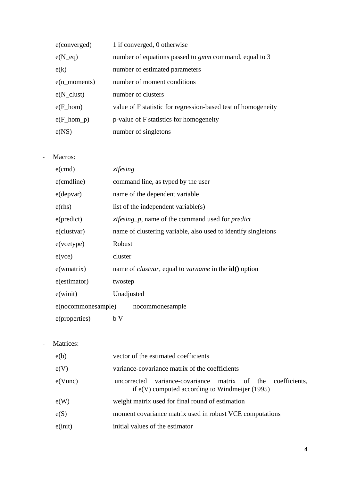| e(converged)           | 1 if converged, 0 otherwise                                   |
|------------------------|---------------------------------------------------------------|
| $e(N_{eq})$            | number of equations passed to <i>gmm</i> command, equal to 3  |
| e(k)                   | number of estimated parameters                                |
| $e(n$ _moments)        | number of moment conditions                                   |
| $e(N_{clust})$         | number of clusters                                            |
| $e(F_{100})$           | value of F statistic for regression-based test of homogeneity |
| $e(F_{\text{nom\_p}})$ | p-value of F statistics for homogeneity                       |
| e(NS)                  | number of singletons                                          |

- Macros:

| $e$ (cmd)          | xtfesing                                                                     |  |  |  |  |  |  |
|--------------------|------------------------------------------------------------------------------|--|--|--|--|--|--|
| e(cmdline)         | command line, as typed by the user                                           |  |  |  |  |  |  |
| $e$ (depvar)       | name of the dependent variable                                               |  |  |  |  |  |  |
| e(rhs)             | list of the independent variable(s)                                          |  |  |  |  |  |  |
| e(predict)         | <i>xtfesing_p</i> , name of the command used for <i>predict</i>              |  |  |  |  |  |  |
| $e$ (clustvar)     | name of clustering variable, also used to identify singletons                |  |  |  |  |  |  |
| $e$ (vcetype)      | Robust                                                                       |  |  |  |  |  |  |
| $e($ vce $)$       | cluster                                                                      |  |  |  |  |  |  |
| $e($ wmatrix $)$   | name of <i>clustvar</i> , equal to <i>varname</i> in the <b>id</b> () option |  |  |  |  |  |  |
| e(estimator)       | twostep                                                                      |  |  |  |  |  |  |
| $e$ (winit)        | Unadjusted                                                                   |  |  |  |  |  |  |
| e(nocommonesample) | nocommonesample                                                              |  |  |  |  |  |  |
| e(properties)      | b V                                                                          |  |  |  |  |  |  |

- Matrices:

| e(b)          | vector of the estimated coefficients                                                                             |  |  |  |  |  |  |  |
|---------------|------------------------------------------------------------------------------------------------------------------|--|--|--|--|--|--|--|
| e(V)          | variance-covariance matrix of the coefficients                                                                   |  |  |  |  |  |  |  |
| $e(V$ unc $)$ | uncorrected variance-covariance matrix of the coefficients,<br>if $e(V)$ computed according to Windmeijer (1995) |  |  |  |  |  |  |  |
| e(W)          | weight matrix used for final round of estimation                                                                 |  |  |  |  |  |  |  |
| e(S)          | moment covariance matrix used in robust VCE computations                                                         |  |  |  |  |  |  |  |
| e (init)      | initial values of the estimator                                                                                  |  |  |  |  |  |  |  |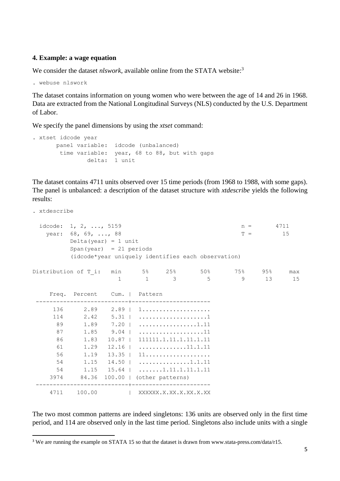#### **4. Example: a wage equation**

We consider the dataset *nlswork*, available online from the STATA website:<sup>3</sup>

. webuse nlswork

The dataset contains information on young women who were between the age of 14 and 26 in 1968. Data are extracted from the National Longitudinal Surveys (NLS) conducted by the U.S. Department of Labor.

We specify the panel dimensions by using the *xtset* command:

```
. xtset idcode year
panel variable: idcode (unbalanced)
 time variable: year, 68 to 88, but with gaps
         delta: 1 unit
```
The dataset contains 4711 units observed over 15 time periods (from 1968 to 1988, with some gaps). The panel is unbalanced: a description of the dataset structure with *xtdescribe* yields the following results:

| . xtdescribe                                   |                                                                                                                                                                                                                                                                                                                                                                |  |                         |                                                           |                     |     |
|------------------------------------------------|----------------------------------------------------------------------------------------------------------------------------------------------------------------------------------------------------------------------------------------------------------------------------------------------------------------------------------------------------------------|--|-------------------------|-----------------------------------------------------------|---------------------|-----|
|                                                | idcode: 1, 2, , 5159<br>year: 68, 69, , 88<br>Delta (year) = 1 unit<br>$Span(year) = 21 periods$                                                                                                                                                                                                                                                               |  |                         | (idcode*year uniquely identifies each observation)        | $n = 4711$<br>$T =$ | 15  |
| Distribution of T i: min $5\%$ 25% 50% 75% 95% |                                                                                                                                                                                                                                                                                                                                                                |  |                         | $\begin{matrix} 1 & 1 & 3 & 5 & 9 & 13 & 15 \end{matrix}$ |                     | max |
|                                                | Freq. Percent Cum.   Pattern                                                                                                                                                                                                                                                                                                                                   |  | ________________        |                                                           |                     |     |
| 89<br>87<br>86<br>61<br>56<br>54<br>54         | 114 $2.42$ $5.31$ $\dots\dots\dots\dots\dots\dots1$<br>$1.89$ $7.20$   1.11<br>$1.85$ 9.04   11<br>1.83  10.87   111111.1.11.1.11.1.11<br>$1.29$ $12.16$ $\ldots$ $11.11.11$<br>$1.19$ $13.35$   $11$<br>$1.15$ $14.50$   1.1.11<br>$1.15$ $15.64$ $\ldots$ 1.11.1.11.1.11<br>3974 84.36 100.00   (other patterns)<br>-------------------- <del>-</del> ------ |  |                         |                                                           |                     |     |
|                                                | 4711 100.00                                                                                                                                                                                                                                                                                                                                                    |  | XXXXXX.X.XX.X.XX.X.X.XX |                                                           |                     |     |

The two most common patterns are indeed singletons: 136 units are observed only in the first time period, and 114 are observed only in the last time period. Singletons also include units with a single

 $\overline{a}$ <sup>3</sup> We are running the example on STATA 15 so that the dataset is drawn from www.stata-press.com/data/r15.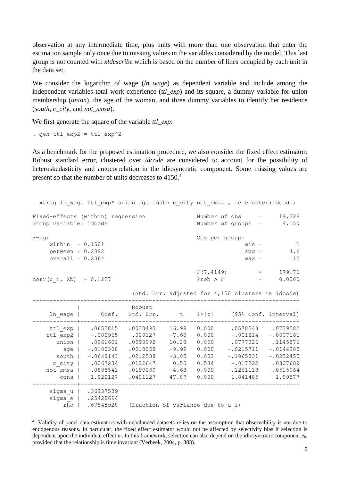observation at any intermediate time, plus units with more than one observation that enter the estimation sample only once due to missing values in the variables considered by the model. This last group is not counted with *xtdescribe* which is based on the number of lines occupied by each unit in the data set.

We consider the logarithm of wage (*ln wage*) as dependent variable and include among the independent variables total work experience (*ttl\_exp*) and its square, a dummy variable for union membership (*union*), the age of the woman, and three dummy variables to identify her residence (*south*, *c\_city*, and *not\_smsa*).

We first generate the square of the variable *ttl exp*:

. gen ttl  $exp2 =$  ttl  $exp^2$ 

 $\overline{\phantom{a}}$ 

As a benchmark for the proposed estimation procedure, we also consider the fixed effect estimator. Robust standard error, clustered over *idcode* are considered to account for the possibility of heteroskedasticity and autocorrelation in the idiosyncratic component. Some missing values are present so that the number of units decreases to 4150.<sup>4</sup>

| . xtreg ln wage ttl_exp* union age south c_city not_smsa, fe cluster(idcode) |                                                                                                                           |                                                                                 |                                                                  |                                                             |                                                                                                                                              |                                                                                             |
|------------------------------------------------------------------------------|---------------------------------------------------------------------------------------------------------------------------|---------------------------------------------------------------------------------|------------------------------------------------------------------|-------------------------------------------------------------|----------------------------------------------------------------------------------------------------------------------------------------------|---------------------------------------------------------------------------------------------|
| Fixed-effects (within) regression<br>Group variable: idcode                  |                                                                                                                           |                                                                                 |                                                                  |                                                             | Number of $obs = 19,226$<br>Number of groups = $4,150$                                                                                       |                                                                                             |
| $R-sq:$<br>within $= 0.1501$<br>between = $0.2892$<br>overall = $0.2364$     |                                                                                                                           |                                                                                 |                                                                  | Obs per group:                                              | $min =$<br>$avg =$<br>$max =$                                                                                                                | $\mathbf{1}$<br>$4.6\,$<br>12                                                               |
| corr(u i, Xb) = $0.1227$                                                     |                                                                                                                           |                                                                                 |                                                                  | F(7, 4149)<br>$Prob$ > $F$                                  | $\mathcal{L}(\mathcal{L}(\mathcal{L}))=\mathcal{L}(\mathcal{L}(\mathcal{L}))$<br>$=$<br>(Std. Err. adjusted for 4,150 clusters in idcode)    | 179.70<br>0.0000                                                                            |
|                                                                              | ln wage   Coef. Std. Err. t P> t  [95% Conf. Interval]                                                                    | Robust                                                                          |                                                                  |                                                             |                                                                                                                                              |                                                                                             |
| ttl exp2  <br>age  <br>south  <br>c city  <br>not smsa  <br>cons             | ttl_exp   .0653815<br>$-.000965$<br>union   .0961601<br>$-.0180308$<br>$-.0649143$<br>.0067234<br>$-.0888541$<br>1.920127 | .0038493<br>.000127<br>.0093992<br>.0018058<br>.0212538<br>.0122647<br>.0401127 | 16.99<br>$-7.60$<br>10.23<br>$-9.99$<br>$-3.05$<br>0.55<br>47.87 | 0.000<br>0.000<br>0.000<br>0.000<br>0.002<br>0.584<br>0.000 | .0578348 .0729282<br>$-.001214$<br>.0777326<br>$-.0215711$<br>$-.1065831$<br>$-.017322$<br>$.0190039$ $-4.68$ 0.000 $- .1261118$<br>1.841485 | $-.0007161$<br>.1145876<br>$-.0144905$<br>$-.0232455$<br>.0307689<br>$-.0515964$<br>1.99877 |
| rho                                                                          | sigma u   .36937539<br>sigma e   .25428694<br>.67845928                                                                   | (fraction of variance due to u i)                                               |                                                                  |                                                             |                                                                                                                                              |                                                                                             |

<sup>&</sup>lt;sup>4</sup> Validity of panel data estimators with unbalanced datasets relies on the assumption that observability is not due to endogenous reasons. In particular, the fixed effect estimator would not be affected by selectivity bias if selection is dependent upon the individual effect *ui*. In this framework, selection can also depend on the idiosyncratic component *eit*, provided that the relationship is time invariant (Verbeek, 2004, p. 383).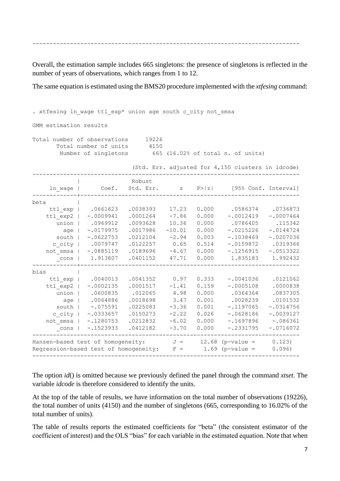------------------------------------------------------------------------------

Overall, the estimation sample includes 665 singletons: the presence of singletons is reflected in the number of years of observations, which ranges from 1 to 12.

The same equation is estimated using the BMS20 procedure implemented with the *xtfesing* command:

| . xtfesing ln wage ttl exp* union age south c city not smsa                                    |                                                                                                            |                                                                                              |                                                                              |                                                                      |                                                                                                                |                                                                                                         |
|------------------------------------------------------------------------------------------------|------------------------------------------------------------------------------------------------------------|----------------------------------------------------------------------------------------------|------------------------------------------------------------------------------|----------------------------------------------------------------------|----------------------------------------------------------------------------------------------------------------|---------------------------------------------------------------------------------------------------------|
| GMM estimation results                                                                         |                                                                                                            |                                                                                              |                                                                              |                                                                      |                                                                                                                |                                                                                                         |
| Total number of observations                                                                   | Total number of units<br>Number of singletons                                                              | 19226<br>4150                                                                                |                                                                              |                                                                      | 665 (16.02% of total n. of units)<br>(Std. Err. adjusted for 4,150 clusters in idcode)                         |                                                                                                         |
| ln wage                                                                                        | Coef.                                                                                                      | Robust                                                                                       |                                                                              |                                                                      | Std. Err. z P> z  [95% Conf. Interval]                                                                         |                                                                                                         |
| beta                                                                                           |                                                                                                            |                                                                                              |                                                                              |                                                                      |                                                                                                                |                                                                                                         |
| ttl exp  <br>ttl exp2  <br>union  <br>age  <br>south  <br>c city  <br>not smsa  <br>cons       | .0661623<br>$-.0009941$<br>.0969912<br>$-.0179975$<br>$-.0622753$<br>.0079747<br>$-.0885119$<br>1.913807   | .0038393<br>.0001264<br>.0093628<br>.0017986<br>.0212104<br>.0122257<br>.0189696<br>.0401152 | 17.23<br>$-7.86$<br>10.36<br>$-10.01$<br>$-2.94$<br>0.65<br>$-4.67$<br>47.71 | 0.000<br>0.000<br>0.000<br>0.000<br>0.003<br>0.514<br>0.000<br>0.000 | .0586374<br>$-.0012419$<br>.0786405<br>$-.0215226$<br>$-.1038469$<br>$-.0159872$<br>$-.1256915$<br>1.835183    | .0736873<br>$-.0007464$<br>.115342<br>$-.0144724$<br>$-.0207036$<br>.0319366<br>$-.0513322$<br>1.992432 |
| bias<br>ttl exp  <br>ttl exp2<br>union  <br>age  <br>south  <br>c city  <br>not smsa  <br>cons | .0040013<br>$-.0002135$<br>.0600835<br>.0064886<br>$-.075591$<br>$-.0333657$<br>$-.1280753$<br>$-.1523933$ | .0041352<br>.0001517<br>.012065<br>.0018698<br>.0225083<br>.0150273<br>.0212832<br>.0412182  | 0.97<br>$-1.41$<br>4.98<br>3.47<br>$-3.36$<br>$-2.22$<br>$-6.02$<br>$-3.70$  | 0.333<br>0.159<br>0.000<br>0.001<br>0.001<br>0.026<br>0.000<br>0.000 | $-.0041036$<br>$-.0005108$<br>.0364364<br>.0028239<br>$-.1197065$<br>$-.0628186$<br>$-.1697896$<br>$-.2331795$ | .0121062<br>.0000838<br>.0837305<br>.0101532<br>$-.0314756$<br>$-.0039127$<br>$-.086361$<br>$-.0716072$ |
| Hansen-based test of homogeneity:<br>Regression-based test of homogeneity:                     |                                                                                                            |                                                                                              | $J =$<br>$F =$                                                               |                                                                      | 12.68 ( $p$ -value =<br>1.69 ( $p$ -value =                                                                    | 0.123)<br>0.096)                                                                                        |
|                                                                                                |                                                                                                            |                                                                                              |                                                                              |                                                                      |                                                                                                                |                                                                                                         |

The option *id*() is omitted because we previously defined the panel through the command *xtset*. The variable *idcode* is therefore considered to identify the units.

At the top of the table of results, we have information on the total number of observations (19226), the total number of units (4150) and the number of singletons (665, corresponding to 16.02% of the total number of units).

The table of results reports the estimated coefficients for "beta" (the consistent estimator of the coefficient of interest) and the OLS "bias" for each variable in the estimated equation. Note that when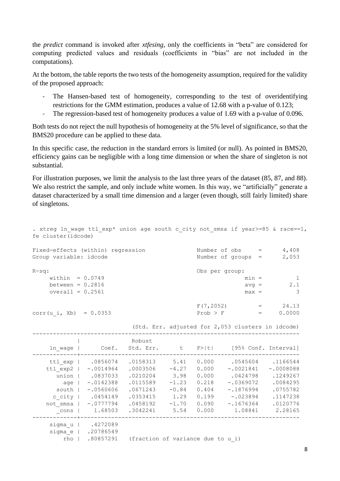the *predict* command is invoked after *xtfesing*, only the coefficients in "beta" are considered for computing predicted values and residuals (coefficients in "bias" are not included in the computations).

At the bottom, the table reports the two tests of the homogeneity assumption, required for the validity of the proposed approach:

- The Hansen-based test of homogeneity, corresponding to the test of overidentifying restrictions for the GMM estimation, produces a value of 12.68 with a p-value of 0.123;
- The regression-based test of homogeneity produces a value of 1.69 with a p-value of 0.096.

Both tests do not reject the null hypothesis of homogeneity at the 5% level of significance, so that the BMS20 procedure can be applied to these data.

In this specific case, the reduction in the standard errors is limited (or null). As pointed in BMS20, efficiency gains can be negligible with a long time dimension or when the share of singleton is not substantial.

For illustration purposes, we limit the analysis to the last three years of the dataset (85, 87, and 88). We also restrict the sample, and only include white women. In this way, we "artificially" generate a dataset characterized by a small time dimension and a larger (even though, still fairly limited) share of singletons.

| . xtreg ln wage ttl exp* union age south c city not smsa if year>=85 & race==1,<br>fe cluster(idcode) |                                                        |                                   |                    |                |                                                   |                |  |  |  |  |  |
|-------------------------------------------------------------------------------------------------------|--------------------------------------------------------|-----------------------------------|--------------------|----------------|---------------------------------------------------|----------------|--|--|--|--|--|
| Number of $obs = 4,408$<br>Fixed-effects (within) regression                                          |                                                        |                                   |                    |                |                                                   |                |  |  |  |  |  |
| Group variable: idcode                                                                                |                                                        |                                   | Number of groups = | 2,053          |                                                   |                |  |  |  |  |  |
| $R-sq:$                                                                                               |                                                        |                                   |                    | Obs per group: |                                                   |                |  |  |  |  |  |
| within = $0.0749$                                                                                     |                                                        |                                   |                    |                | $min =$                                           | $\overline{1}$ |  |  |  |  |  |
| between = $0.2816$                                                                                    |                                                        |                                   |                    |                | $avg =$                                           | 2.1            |  |  |  |  |  |
| overall = $0.2561$                                                                                    |                                                        |                                   |                    |                | $max =$                                           | 3              |  |  |  |  |  |
|                                                                                                       |                                                        |                                   |                    |                | $F(7, 2052) = 24.13$                              |                |  |  |  |  |  |
| corr(u i, Xb) = $0.0353$                                                                              |                                                        |                                   |                    | $Prob$ > $F$   | $\mathbf{r} = \mathbf{r} \mathbf{r}$              | 0.0000         |  |  |  |  |  |
|                                                                                                       |                                                        |                                   |                    |                | (Std. Err. adjusted for 2,053 clusters in idcode) |                |  |  |  |  |  |
|                                                                                                       |                                                        | Robust                            |                    |                |                                                   |                |  |  |  |  |  |
| ln wage                                                                                               | Coef.                                                  |                                   |                    |                | Std. Err. t P> t  [95% Conf. Interval]            |                |  |  |  |  |  |
|                                                                                                       | ttl exp   .0856074                                     | $.0158313$ $5.41$                 |                    | 0.000          | .0545604 .1166544                                 |                |  |  |  |  |  |
|                                                                                                       | ttl exp2   -.0014964                                   | $.0003506 -4.27 0.000$            |                    |                | $-.0021841$                                       | $-.0008088$    |  |  |  |  |  |
|                                                                                                       | union   .0837033                                       | $.0210204$ 3.98                   |                    | 0.000          | .0424798 .1249267                                 |                |  |  |  |  |  |
|                                                                                                       | age   -.0142388                                        | .0115589                          | $-1.23$            | 0.218          | $-.0369072$ .0084295                              |                |  |  |  |  |  |
|                                                                                                       | south   -.0560606                                      | .0671243                          | $-0.84$            | 0.404          | $-.1876994$ .0755782                              |                |  |  |  |  |  |
|                                                                                                       | c city   .0454149                                      | $.0353415$ 1.29 0.199             |                    |                | $-.023894$ .1147238                               |                |  |  |  |  |  |
|                                                                                                       | not smsa   -.0777794                                   |                                   |                    |                | $.0458192$ $-1.70$ 0.090 $-.1676364$ .0120776     |                |  |  |  |  |  |
| cons                                                                                                  | 1.68503                                                | .3042241                          | 5.54               | 0.000          | 1.08841                                           | 2.28165        |  |  |  |  |  |
| rho                                                                                                   | sigma u   .4272089<br>sigma e   .20786549<br>.80857291 | (fraction of variance due to u i) |                    |                |                                                   |                |  |  |  |  |  |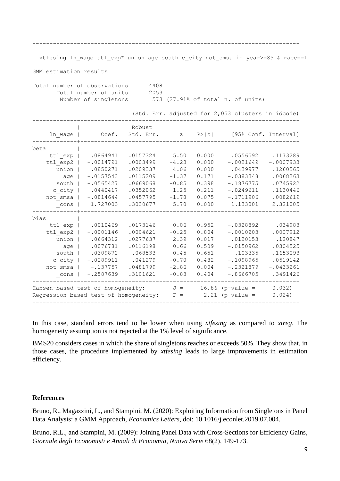------------------------------------------------------------------------------

. xtfesing ln\_wage ttl\_exp\* union age south c\_city not\_smsa if year>=85 & race==1

GMM estimation results

| Total number of observations |  |                      | 4408 |  |  |  |                                   |
|------------------------------|--|----------------------|------|--|--|--|-----------------------------------|
| Total number of units        |  |                      | 2053 |  |  |  |                                   |
|                              |  | Number of singletons |      |  |  |  | 573 (27.91% of total n. of units) |

|          |                                       |                     |         |        | (Std. Err. adjusted for 2,053 clusters in idcode) |             |
|----------|---------------------------------------|---------------------|---------|--------|---------------------------------------------------|-------------|
| ln wage  | Coef.                                 | Robust<br>Std. Err. | Z       | P >  z | [95% Conf. Interval]                              |             |
| beta     |                                       |                     |         |        |                                                   |             |
| ttl exp  | .0864941                              | .0157324            | 5.50    | 0.000  | .0556592                                          | .1173289    |
| ttl exp2 | $-.0014791$                           | .0003499            | $-4.23$ | 0.000  | $-.0021649$                                       | $-.0007933$ |
| union    | .0850271                              | .0209337            | 4.06    | 0.000  | .0439977                                          | .1260565    |
| age      | $-.0157543$                           | .0115209            | $-1.37$ | 0.171  | $-.0383348$                                       | .0068263    |
| south    | $-.0565427$                           | .0669068            | $-0.85$ | 0.398  | $-.1876775$                                       | .0745922    |
| c city   | .0440417                              | .0352062            | 1.25    | 0.211  | $-.0249611$                                       | .1130446    |
| not smsa | $-.0814644$                           | .0457795            | $-1.78$ | 0.075  | $-.1711906$                                       | .0082619    |
| cons     | 1.727003                              | .3030677            | 5.70    | 0.000  | 1.133001                                          | 2.321005    |
| bias     |                                       |                     |         |        |                                                   |             |
| ttl exp  | .0010469                              | .0173146            | 0.06    | 0.952  | $-.0328892$                                       | .034983     |
| ttl exp2 | $-.0001146$                           | .0004621            | $-0.25$ | 0.804  | $-.0010203$                                       | .0007912    |
| union    | .0664312                              | .0277637            | 2.39    | 0.017  | .0120153                                          | .120847     |
| age      | .0076781                              | .0116198            | 0.66    | 0.509  | $-10150962$                                       | .0304525    |
| south    | .0309872                              | .068533             | 0.45    | 0.651  | $-.103335$                                        | .1653093    |
| c city   | $-.0289911$                           | .041279             | $-0.70$ | 0.482  | $-.1098965$                                       | .0519142    |
| not smsa | $-.137757$                            | .0481799            | $-2.86$ | 0.004  | $-.2321879$                                       | $-.0433261$ |
| cons     | $-.2587639$                           | .3101621            | $-0.83$ | 0.404  | $-.8666705$                                       | .3491426    |
|          | Hansen-based test of homogeneity:     |                     | $J =$   |        | 16.86 ( $p$ -value =                              | 0.032)      |
|          | Regression-based test of homogeneity: |                     | $F =$   | 2.21   | $(p-value =$                                      | 0.024)      |
|          |                                       |                     |         |        |                                                   |             |

In this case, standard errors tend to be lower when using *xtfesing* as compared to *xtreg*. The homogeneity assumption is not rejected at the 1% level of significance.

BMS20 considers cases in which the share of singletons reaches or exceeds 50%. They show that, in those cases, the procedure implemented by *xtfesing* leads to large improvements in estimation efficiency.

#### **References**

Bruno, R., Magazzini, L., and Stampini, M. (2020): Exploiting Information from Singletons in Panel Data Analysis: a GMM Approach, *Economics Letters*, doi: 10.1016/j.econlet.2019.07.004.

Bruno, R.L., and Stampini, M. (2009): Joining Panel Data with Cross-Sections for Efficiency Gains, *Giornale degli Economisti e Annali di Economia, Nuova Serie* 68(2), 149-173.